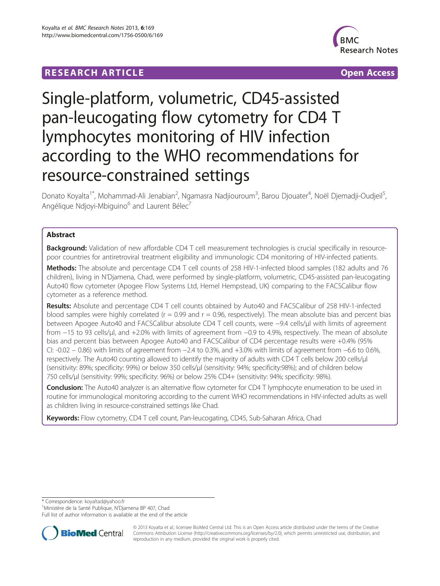# **RESEARCH ARTICLE Example 2014 The Contract of Contract Contract Contract Contract Contract Contract Contract Contract Contract Contract Contract Contract Contract Contract Contract Contract Contract Contract Contract Co**



# Single-platform, volumetric, CD45-assisted pan-leucogating flow cytometry for CD4 T lymphocytes monitoring of HIV infection according to the WHO recommendations for resource-constrained settings

Donato Koyalta<sup>1\*</sup>, Mohammad-Ali Jenabian<sup>2</sup>, Ngamasra Nadjiouroum<sup>3</sup>, Barou Djouater<sup>4</sup>, Noël Djemadji-Oudjeil<sup>5</sup> , Angélique Ndjoyi-Mbiguino<sup>6</sup> and Laurent Bélec<sup>7</sup>

# Abstract

Background: Validation of new affordable CD4 T cell measurement technologies is crucial specifically in resourcepoor countries for antiretroviral treatment eligibility and immunologic CD4 monitoring of HIV-infected patients.

Methods: The absolute and percentage CD4 T cell counts of 258 HIV-1-infected blood samples (182 adults and 76 children), living in N'Djamena, Chad, were performed by single-platform, volumetric, CD45-assisted pan-leucogating Auto40 flow cytometer (Apogee Flow Systems Ltd, Hemel Hempstead, UK) comparing to the FACSCalibur flow cytometer as a reference method.

Results: Absolute and percentage CD4 T cell counts obtained by Auto40 and FACSCalibur of 258 HIV-1-infected blood samples were highly correlated ( $r = 0.99$  and  $r = 0.96$ , respectively). The mean absolute bias and percent bias between Apogee Auto40 and FACSCalibur absolute CD4 T cell counts, were −9.4 cells/μl with limits of agreement from −15 to 93 cells/μl, and +2.0% with limits of agreement from −0.9 to 4.9%, respectively. The mean of absolute bias and percent bias between Apogee Auto40 and FACSCalibur of CD4 percentage results were +0.4% (95% CI: -0.02 – 0.86) with limits of agreement from −2.4 to 0.3%, and +3.0% with limits of agreement from −6.6 to 0.6%, respectively. The Auto40 counting allowed to identify the majority of adults with CD4 T cells below 200 cells/μl (sensitivity: 89%; specificity: 99%) or below 350 cells/μl (sensitivity: 94%; specificity:98%); and of children below 750 cells/μl (sensitivity: 99%; specificity: 96%) or below 25% CD4+ (sensitivity: 94%; specificity: 98%).

Conclusion: The Auto40 analyzer is an alternative flow cytometer for CD4 T lymphocyte enumeration to be used in routine for immunological monitoring according to the current WHO recommendations in HIV-infected adults as well as children living in resource-constrained settings like Chad.

Keywords: Flow cytometry, CD4 T cell count, Pan-leucogating, CD45, Sub-Saharan Africa, Chad

\* Correspondence: [koyaltad@yahoo.fr](mailto:koyaltad@yahoo.fr) <sup>1</sup>

<sup>1</sup>Ministère de la Santé Publique, N'Djamena BP 407, Chad

Full list of author information is available at the end of the article



© 2013 Koyalta et al.; licensee BioMed Central Ltd. This is an Open Access article distributed under the terms of the Creative Commons Attribution License [\(http://creativecommons.org/licenses/by/2.0\)](http://creativecommons.org/licenses/by/2.0), which permits unrestricted use, distribution, and reproduction in any medium, provided the original work is properly cited.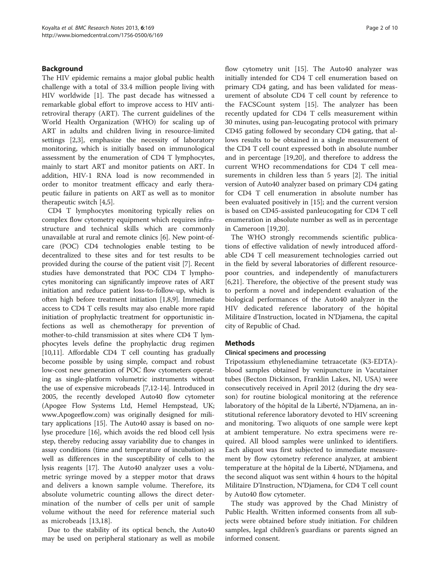## Background

The HIV epidemic remains a major global public health challenge with a total of 33.4 million people living with HIV worldwide [\[1](#page-8-0)]. The past decade has witnessed a remarkable global effort to improve access to HIV antiretroviral therapy (ART). The current guidelines of the World Health Organization (WHO) for scaling up of ART in adults and children living in resource-limited settings [[2,3\]](#page-8-0), emphasize the necessity of laboratory monitoring, which is initially based on immunological assessment by the enumeration of CD4 T lymphocytes, mainly to start ART and monitor patients on ART. In addition, HIV-1 RNA load is now recommended in order to monitor treatment efficacy and early therapeutic failure in patients on ART as well as to monitor therapeutic switch [[4,5\]](#page-8-0).

CD4 T lymphocytes monitoring typically relies on complex flow cytometry equipment which requires infrastructure and technical skills which are commonly unavailable at rural and remote clinics [\[6\]](#page-8-0). New point-ofcare (POC) CD4 technologies enable testing to be decentralized to these sites and for test results to be provided during the course of the patient visit [\[7\]](#page-8-0). Recent studies have demonstrated that POC CD4 T lymphocytes monitoring can significantly improve rates of ART initiation and reduce patient loss-to-follow-up, which is often high before treatment initiation [[1,8,9](#page-8-0)]. Immediate access to CD4 T cells results may also enable more rapid initiation of prophylactic treatment for opportunistic infections as well as chemotherapy for prevention of mother-to-child transmission at sites where CD4 T lymphocytes levels define the prophylactic drug regimen [[10,11](#page-8-0)]. Affordable CD4 T cell counting has gradually become possible by using simple, compact and robust low-cost new generation of POC flow cytometers operating as single-platform volumetric instruments without the use of expensive microbeads [\[7,12-14\]](#page-8-0). Introduced in 2005, the recently developed Auto40 flow cytometer (Apogee Flow Systems Ltd, Hemel Hempstead, UK; [www.Apogeeflow.com\)](http://www.apogeeflow.com/) was originally designed for military applications [\[15\]](#page-8-0). The Auto40 assay is based on nolyse procedure [[16](#page-8-0)], which avoids the red blood cell lysis step, thereby reducing assay variability due to changes in assay conditions (time and temperature of incubation) as well as differences in the susceptibility of cells to the lysis reagents [\[17\]](#page-8-0). The Auto40 analyzer uses a volumetric syringe moved by a stepper motor that draws and delivers a known sample volume. Therefore, its absolute volumetric counting allows the direct determination of the number of cells per unit of sample volume without the need for reference material such as microbeads [[13,18](#page-8-0)].

Due to the stability of its optical bench, the Auto40 may be used on peripheral stationary as well as mobile flow cytometry unit [\[15\]](#page-8-0). The Auto40 analyzer was initially intended for CD4 T cell enumeration based on primary CD4 gating, and has been validated for measurement of absolute CD4 T cell count by reference to the FACSCount system [\[15\]](#page-8-0). The analyzer has been recently updated for CD4 T cells measurement within 30 minutes, using pan-leucogating protocol with primary CD45 gating followed by secondary CD4 gating, that allows results to be obtained in a single measurement of the CD4 T cell count expressed both in absolute number and in percentage [\[19,20](#page-8-0)], and therefore to address the current WHO recommendations for CD4 T cell measurements in children less than 5 years [\[2](#page-8-0)]. The initial version of Auto40 analyzer based on primary CD4 gating for CD4 T cell enumeration in absolute number has been evaluated positively in [[15\]](#page-8-0); and the current version is based on CD45-assisted panleucogating for CD4 T cell enumeration in absolute number as well as in percentage in Cameroon [[19,20](#page-8-0)].

The WHO strongly recommends scientific publications of effective validation of newly introduced affordable CD4 T cell measurement technologies carried out in the field by several laboratories of different resourcepoor countries, and independently of manufacturers [[6,21\]](#page-8-0). Therefore, the objective of the present study was to perform a novel and independent evaluation of the biological performances of the Auto40 analyzer in the HIV dedicated reference laboratory of the hôpital Militaire d'Instruction, located in N'Djamena, the capital city of Republic of Chad.

# **Methods**

### Clinical specimens and processing

Tripotassium ethylenediamine tetraacetate (K3-EDTA) blood samples obtained by venipuncture in Vacutainer tubes (Becton Dickinson, Franklin Lakes, NJ, USA) were consecutively received in April 2012 (during the dry season) for routine biological monitoring at the reference laboratory of the hôpital de la Liberté, N'Djamena, an institutional reference laboratory devoted to HIV screening and monitoring. Two aliquots of one sample were kept at ambient temperature. No extra specimens were required. All blood samples were unlinked to identifiers. Each aliquot was first subjected to immediate measurement by flow cytometry reference analyzer, at ambient temperature at the hôpital de la Liberté, N'Djamena, and the second aliquot was sent within 4 hours to the hôpital Militaire D'Instruction, N'Djamena, for CD4 T cell count by Auto40 flow cytometer.

The study was approved by the Chad Ministry of Public Health. Written informed consents from all subjects were obtained before study initiation. For children samples, legal children's guardians or parents signed an informed consent.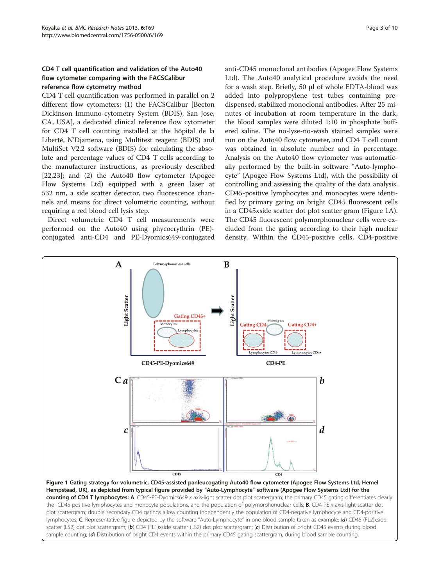# <span id="page-2-0"></span>CD4 T cell quantification and validation of the Auto40 flow cytometer comparing with the FACSCalibur reference flow cytometry method

CD4 T cell quantification was performed in parallel on 2 different flow cytometers: (1) the FACSCalibur [Becton Dickinson Immuno-cytometry System (BDIS), San Jose, CA, USA], a dedicated clinical reference flow cytometer for CD4 T cell counting installed at the hôpital de la Liberté, N'Djamena, using Multitest reagent (BDIS) and MultiSet V2.2 software (BDIS) for calculating the absolute and percentage values of CD4 T cells according to the manufacturer instructions, as previously described [[22,23\]](#page-8-0); and (2) the Auto40 flow cytometer (Apogee Flow Systems Ltd) equipped with a green laser at 532 nm, a side scatter detector, two fluorescence channels and means for direct volumetric counting, without requiring a red blood cell lysis step.

Direct volumetric CD4 T cell measurements were performed on the Auto40 using phycoerythrin (PE) conjugated anti-CD4 and PE-Dyomics649-conjugated

anti-CD45 monoclonal antibodies (Apogee Flow Systems Ltd). The Auto40 analytical procedure avoids the need for a wash step. Briefly, 50 μl of whole EDTA-blood was added into polypropylene test tubes containing predispensed, stabilized monoclonal antibodies. After 25 minutes of incubation at room temperature in the dark, the blood samples were diluted 1:10 in phosphate buffered saline. The no-lyse-no-wash stained samples were run on the Auto40 flow cytometer, and CD4 T cell count was obtained in absolute number and in percentage. Analysis on the Auto40 flow cytometer was automatically performed by the built-in software "Auto-lymphocyte" (Apogee Flow Systems Ltd), with the possibility of controlling and assessing the quality of the data analysis. CD45-positive lymphocytes and monocytes were identified by primary gating on bright CD45 fluorescent cells in a CD45xside scatter dot plot scatter gram (Figure 1A). The CD45 fluorescent polymorphonuclear cells were excluded from the gating according to their high nuclear density. Within the CD45-positive cells, CD4-positive

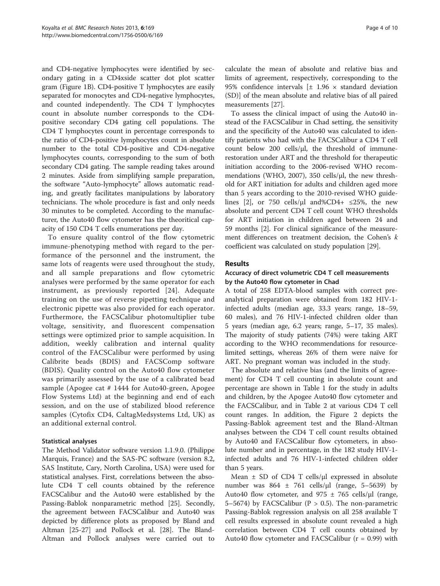and CD4-negative lymphocytes were identified by secondary gating in a CD4xside scatter dot plot scatter gram (Figure [1](#page-2-0)B). CD4-positive T lymphocytes are easily separated for monocytes and CD4-negative lymphocytes, and counted independently. The CD4 T lymphocytes count in absolute number corresponds to the CD4 positive secondary CD4 gating cell populations. The CD4 T lymphocytes count in percentage corresponds to the ratio of CD4-positive lymphocytes count in absolute number to the total CD4-positive and CD4-negative lymphocytes counts, corresponding to the sum of both secondary CD4 gating. The sample reading takes around 2 minutes. Aside from simplifying sample preparation, the software "Auto-lymphocyte" allows automatic reading, and greatly facilitates manipulations by laboratory technicians. The whole procedure is fast and only needs 30 minutes to be completed. According to the manufacturer, the Auto40 flow cytometer has the theoritical capacity of 150 CD4 T cells enumerations per day.

To ensure quality control of the flow cytometric immune-phenotyping method with regard to the performance of the personnel and the instrument, the same lots of reagents were used throughout the study, and all sample preparations and flow cytometric analyses were performed by the same operator for each instrument, as previously reported [[24](#page-8-0)]. Adequate training on the use of reverse pipetting technique and electronic pipette was also provided for each operator. Furthermore, the FACSCalibur photomultiplier tube voltage, sensitivity, and fluorescent compensation settings were optimized prior to sample acquisition. In addition, weekly calibration and internal quality control of the FACSCalibur were performed by using Calibrite beads (BDIS) and FACSComp software (BDIS). Quality control on the Auto40 flow cytometer was primarily assessed by the use of a calibrated bead sample (Apogee cat # 1444 for Auto40-green, Apogee Flow Systems Ltd) at the beginning and end of each session, and on the use of stabilized blood reference samples (Cytofix CD4, CaltagMedsystems Ltd, UK) as an additional external control.

### Statistical analyses

The Method Validator software version 1.1.9.0. (Philippe Marquis, France) and the SAS-PC software (version 8.2, SAS Institute, Cary, North Carolina, USA) were used for statistical analyses. First, correlations between the absolute CD4 T cell counts obtained by the reference FACSCalibur and the Auto40 were established by the Passing-Bablok nonparametric method [[25\]](#page-8-0). Secondly, the agreement between FACSCalibur and Auto40 was depicted by difference plots as proposed by Bland and Altman [[25-27](#page-8-0)] and Pollock et al. [[28](#page-8-0)]. The Bland-Altman and Pollock analyses were carried out to

calculate the mean of absolute and relative bias and limits of agreement, respectively, corresponding to the 95% confidence intervals  $[\pm 1.96 \times \text{standard deviation}]$ (SD)] of the mean absolute and relative bias of all paired measurements [\[27\]](#page-8-0).

To assess the clinical impact of using the Auto40 instead of the FACSCalibur in Chad setting, the sensitivity and the specificity of the Auto40 was calculated to identify patients who had with the FACSCalibur a CD4 T cell count below 200 cells/μl, the threshold of immunerestoration under ART and the threshold for therapeutic initiation according to the 2006-revised WHO recommendations (WHO, 2007), 350 cells/μl, the new threshold for ART initiation for adults and children aged more than 5 years according to the 2010-revised WHO guide-lines [[2\]](#page-8-0), or 750 cells/ $\mu$ l and%CD4+ ≤25%, the new absolute and percent CD4 T cell count WHO thresholds for ART initiation in children aged between 24 and 59 months [\[2](#page-8-0)]. For clinical significance of the measurement differences on treatment decision, the Cohen's k coefficient was calculated on study population [\[29\]](#page-8-0).

### Results

### Accuracy of direct volumetric CD4 T cell measurements by the Auto40 flow cytometer in Chad

A total of 258 EDTA-blood samples with correct preanalytical preparation were obtained from 182 HIV-1 infected adults (median age, 33.3 years; range, 18–59, 60 males), and 76 HIV-1-infected children older than 5 years (median age, 6.2 years; range, 5–17, 35 males). The majority of study patients (74%) were taking ART according to the WHO recommendations for resourcelimited settings, whereas 26% of them were naïve for ART. No pregnant woman was included in the study.

The absolute and relative bias (and the limits of agreement) for CD4 T cell counting in absolute count and percentage are shown in Table [1](#page-4-0) for the study in adults and children, by the Apogee Auto40 flow cytometer and the FACSCalibur, and in Table [2](#page-4-0) at various CD4 T cell count ranges. In addition, the Figure [2](#page-5-0) depicts the Passing-Bablok agreement test and the Bland-Altman analyses between the CD4 T cell count results obtained by Auto40 and FACSCalibur flow cytometers, in absolute number and in percentage, in the 182 study HIV-1 infected adults and 76 HIV-1-infected children older than 5 years.

Mean ± SD of CD4 T cells/μl expressed in absolute number was  $864 \pm 761$  cells/µl (range, 5–5639) by Auto40 flow cytometer, and 975  $\pm$  765 cells/ $\mu$ l (range, 5–5674) by FACSCalibur ( $P > 0.5$ ). The non-parametric Passing-Bablok regression analysis on all 258 available T cell results expressed in absolute count revealed a high correlation between CD4 T cell counts obtained by Auto40 flow cytometer and FACSCalibur  $(r = 0.99)$  with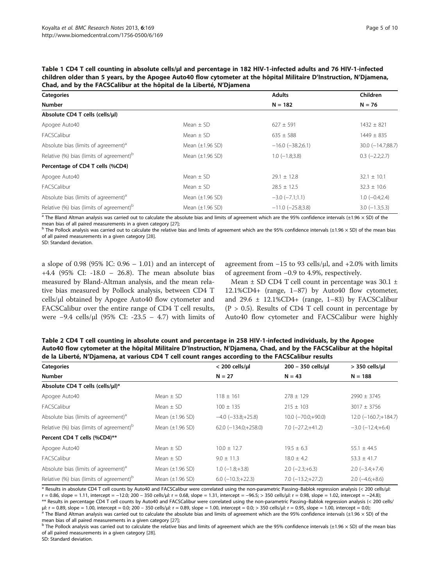<span id="page-4-0"></span>

| Table 1 CD4 T cell counting in absolute cells/ul and percentage in 182 HIV-1-infected adults and 76 HIV-1-infected  |
|---------------------------------------------------------------------------------------------------------------------|
| children older than 5 years, by the Apogee Auto40 flow cytometer at the hôpital Militaire D'Instruction, N'Djamena, |
| Chad, and by the FACSCalibur at the hôpital de la Liberté, N'Diamena                                                |

| Categories                                           |                      | <b>Adults</b>           | Children                |
|------------------------------------------------------|----------------------|-------------------------|-------------------------|
| <b>Number</b>                                        | $N = 182$            | $N = 76$                |                         |
| Absolute CD4 T cells (cells/µl)                      |                      |                         |                         |
| Apogee Auto40                                        | Mean $\pm$ SD        | $627 \pm 591$           | $1432 \pm 821$          |
| <b>FACSCalibur</b>                                   | Mean $\pm$ SD        | $635 \pm 588$           | $1449 \pm 835$          |
| Absolute bias (limits of agreement) <sup>a</sup>     | Mean $(\pm 1.96$ SD) | $-16.0$ ( $-38.2;6.1$ ) | $30.0$ ( $-14.7;88.7$ ) |
| Relative (%) bias (limits of agreement) <sup>b</sup> | Mean $(\pm 1.96$ SD) | $1.0$ ( $-1.8;3.8$ )    | $0.3$ $(-2.2;2.7)$      |
| Percentage of CD4 T cells (%CD4)                     |                      |                         |                         |
| Apogee Auto40                                        | Mean $\pm$ SD        | $29.1 \pm 12.8$         | $32.1 \pm 10.1$         |
| FACSCalibur                                          | Mean $\pm$ SD        | $28.5 \pm 12.5$         | $32.3 \pm 10.6$         |
| Absolute bias (limits of agreement) <sup>a</sup>     | Mean $(\pm 1.96$ SD) | $-3.0$ $(-7.1;1.1)$     | $1.0 (-0.4;2.4)$        |
| Relative (%) bias (limits of agreement) <sup>b</sup> | Mean $(\pm 1.96$ SD) | $-11.0$ ( $-25.8;3.8$ ) | $3.0$ (-1.3;5.3)        |

 $\overline{a}$  The Bland Altman analysis was carried out to calculate the absolute bias and limits of agreement which are the 95% confidence intervals (±1.96 × SD) of the mean bias of all paired measurements in a given category [[27\]](#page-8-0);<br><sup>b</sup> The Pollock analysis was carried out to calculate the relative bias and limits of agreement which are the 95% confidence intervals (±1.96 × SD) of the mea

of all paired measurements in a given category [\[28\]](#page-8-0).

SD: Standard deviation.

a slope of 0.98 (95% IC: 0.96 – 1.01) and an intercept of +4.4 (95% CI: -18.0 – 26.8). The mean absolute bias measured by Bland-Altman analysis, and the mean relative bias measured by Pollock analysis, between CD4 T cells/μl obtained by Apogee Auto40 flow cytometer and FACSCalibur over the entire range of CD4 T cell results, were −9.4 cells/μl (95% CI: -23.5 – 4.7) with limits of agreement from  $-15$  to 93 cells/ $\mu$ l, and  $+2.0\%$  with limits of agreement from −0.9 to 4.9%, respectively.

Mean ± SD CD4 T cell count in percentage was 30.1 ± 12.1%CD4+ (range, 1–87) by Auto40 flow cytometer, and  $29.6 \pm 12.1\% \text{CD}4+$  (range, 1-83) by FACSCalibur  $(P > 0.5)$ . Results of CD4 T cell count in percentage by Auto40 flow cytometer and FACSCalibur were highly

Table 2 CD4 T cell counting in absolute count and percentage in 258 HIV-1-infected individuals, by the Apogee Auto40 flow cytometer at the hôpital Militaire D'Instruction, N'Djamena, Chad, and by the FACSCalibur at the hôpital de la Liberté, N'Djamena, at various CD4 T cell count ranges according to the FACSCalibur results

| <b>Categories</b>                                    |                      | $<$ 200 cells/ $\mu$ l    | 200 - 350 cells/ul           | $> 350$ cells/ $\mu$ l    |  |
|------------------------------------------------------|----------------------|---------------------------|------------------------------|---------------------------|--|
| <b>Number</b>                                        |                      | $N = 27$                  |                              | $N = 188$                 |  |
| Absolute CD4 T cells (cells/µl)*                     |                      |                           |                              |                           |  |
| Apogee Auto40                                        | Mean $\pm$ SD        | $118 \pm 161$             | $278 \pm 129$                | $2990 \pm 3745$           |  |
| FACSCalibur                                          | Mean $\pm$ SD        | $100 \pm 135$             | $215 \pm 103$                | $3017 \pm 3756$           |  |
| Absolute bias (limits of agreement) <sup>a</sup>     | Mean $(\pm 1.96$ SD) | $-4.0$ ( $-33.8$ ; +25.8) | $10.0$ ( $-70.0$ ; $+90.0$ ) | $12.0$ (-160.7; +184.7)   |  |
| Relative (%) bias (limits of agreement) <sup>b</sup> | Mean $(\pm 1.96$ SD) | $62.0$ (-134.0;+258.0)    | $7.0$ $(-27.2;+41.2)$        | $-3.0$ $(-12.4;+6.4)$     |  |
| Percent CD4 T cells (%CD4)**                         |                      |                           |                              |                           |  |
| Apogee Auto40                                        | Mean $\pm$ SD        | $10.0 \pm 12.7$           | $19.5 \pm 6.3$               | $55.1 \pm 44.5$           |  |
| FACSCalibur                                          | Mean $\pm$ SD        | $9.0 \pm 11.3$            | $18.0 \pm 4.2$               | $53.3 \pm 41.7$           |  |
| Absolute bias (limits of agreement) <sup>a</sup>     | Mean $(\pm 1.96$ SD) | $1.0$ ( $-1.8;+3.8$ )     | $2.0$ (-2.3; +6.3)           | $2.0$ (-3.4;+7.4)         |  |
| Relative (%) bias (limits of agreement) <sup>b</sup> | Mean $(\pm 1.96$ SD) | $6.0$ ( $-10.3;+22.3$ )   | $7.0$ ( $-13.2;+27.2$ )      | $2.0$ ( $-4.6$ ; $+8.6$ ) |  |

\* Results in absolute CD4 T cell counts by Auto40 and FACSCalibur were correlated using the non-parametric Passing–Bablok regression analysis (< 200 cells/μl: r = 0.86, slope = 1.11, intercept = −12.0; 200 – 350 cells/μl: r = 0.68, slope = 1.31, intercept = −96.5; > 350 cells/μl: r = 0.98, slope = 1.02, intercept = −24.8); \*\* Results in percentage CD4 T cell counts by Auto40 and FACSCalibur were correlated using the non-parametric Passing–Bablok regression analysis (< 200 cells/ µl:  $r = 0.89$ , slope = 1.00, intercept = 0.0; 200 – 350 cells/µl:  $r = 0.89$ , slope = 1.00, intercept = 0.0; > 350 cells/µl:  $r = 0.95$ , slope = 1.00, intercept = 0.0);<br><sup>a</sup> The Bland Altman analysis was carried out to calcu

mean bias of all paired measurements in a given category [[27\]](#page-8-0);<br><sup>b</sup> The Pollock analysis was carried out to calculate the relative bias and limits of agreement which are the 95% confidence intervals (±1.96 × SD) of the mea of all paired measurements in a given category [\[28\]](#page-8-0).

SD: Standard deviation.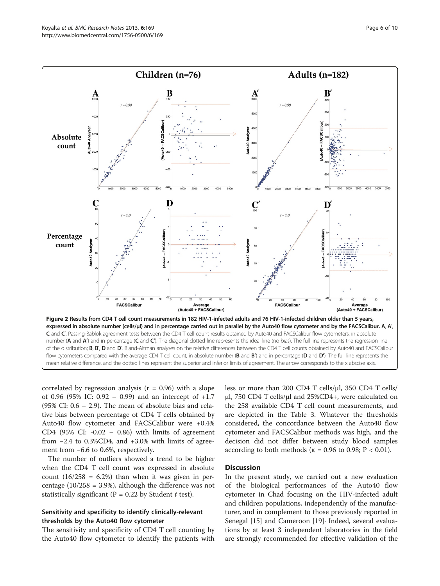<span id="page-5-0"></span>

correlated by regression analysis  $(r = 0.96)$  with a slope of 0.96 (95% IC:  $0.92 - 0.99$ ) and an intercept of  $+1.7$ (95% CI: 0.6 – 2.9). The mean of absolute bias and relative bias between percentage of CD4 T cells obtained by Auto40 flow cytometer and FACSCalibur were +0.4% CD4 (95% CI:  $-0.02 - 0.86$ ) with limits of agreement from  $-2.4$  to 0.3%CD4, and  $+3.0\%$  with limits of agreement from −6.6 to 0.6%, respectively.

The number of outliers showed a trend to be higher when the CD4 T cell count was expressed in absolute count  $(16/258 = 6.2%)$  than when it was given in percentage  $(10/258 = 3.9%)$ , although the difference was not statistically significant (P = 0.22 by Student t test).

# Sensitivity and specificity to identify clinically-relevant thresholds by the Auto40 flow cytometer

The sensitivity and specificity of CD4 T cell counting by the Auto40 flow cytometer to identify the patients with less or more than 200 CD4 T cells/μl, 350 CD4 T cells/ μl, 750 CD4 T cells/μl and 25%CD4+, were calculated on the 258 available CD4 T cell count measurements, and are depicted in the Table [3](#page-6-0). Whatever the thresholds considered, the concordance between the Auto40 flow cytometer and FACSCalibur methods was high, and the decision did not differ between study blood samples according to both methods ( $κ = 0.96$  to 0.98;  $P < 0.01$ ).

### **Discussion**

In the present study, we carried out a new evaluation of the biological performances of the Auto40 flow cytometer in Chad focusing on the HIV-infected adult and children populations, independently of the manufacturer, and in complement to those previously reported in Senegal [\[15\]](#page-8-0) and Cameroon [\[19](#page-8-0)]∙ Indeed, several evaluations by at least 3 independent laboratories in the field are strongly recommended for effective validation of the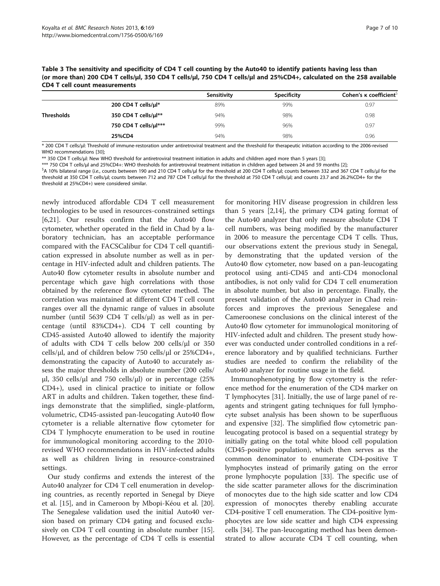<span id="page-6-0"></span>

| Table 3 The sensitivity and specificity of CD4 T cell counting by the Auto40 to identify patients having less than     |
|------------------------------------------------------------------------------------------------------------------------|
| (or more than) 200 CD4 T cells/ul, 350 CD4 T cells/ul, 750 CD4 T cells/ul and 25%CD4+, calculated on the 258 available |
| <b>CD4 T cell count measurements</b>                                                                                   |

|                   |                       | Sensitivity | Specificity | Cohen's $\kappa$ coefficient <sup>&gt;</sup> |
|-------------------|-----------------------|-------------|-------------|----------------------------------------------|
|                   | 200 CD4 T cells/µl*   | 89%         | 99%         | 0.97                                         |
| <b>Thresholds</b> | 350 CD4 T cells/ul**  | 94%         | 98%         | 0.98                                         |
|                   | 750 CD4 T cells/µl*** | 99%         | 96%         | 0.97                                         |
|                   | 25%CD4                | 94%         | 98%         | 0.96                                         |

\* 200 CD4 T cells/μl: Threshold of immune-restoration under antiretroviral treatment and the threshold for therapeutic initiation according to the 2006-revised WHO recommendations [[30\]](#page-8-0):

\*\* 350 CD4 T cells/μl: New WHO threshold for antiretroviral treatment initiation in adults and children aged more than 5 years [\[3\]](#page-8-0);

\*\*\* 750 CD4 T cells/μl and 25%CD4+: WHO thresholds for antiretroviral treatment initiation in children aged between 24 and 59 months [[2](#page-8-0)]; \$

<sup>S</sup>A 10% bilateral range (i.e., counts between 190 and 210 CD4 T cells/μl for the threshold at 200 CD4 T cells/μl; counts between 332 and 367 CD4 T cells/μl for the threshold at 350 CD4 T cells/µl; counts between 712 and 787 CD4 T cells/µl for the threshold at 750 CD4 T cells/µl; and counts 23.7 and 26.2%CD4+ for the threshold at 25%CD4+) were considered similar.

newly introduced affordable CD4 T cell measurement technologies to be used in resources-constrained settings [[6,21\]](#page-8-0). Our results confirm that the Auto40 flow cytometer, whether operated in the field in Chad by a laboratory technician, has an acceptable performance compared with the FACSCalibur for CD4 T cell quantification expressed in absolute number as well as in percentage in HIV-infected adult and children patients. The Auto40 flow cytometer results in absolute number and percentage which gave high correlations with those obtained by the reference flow cytometer method. The correlation was maintained at different CD4 T cell count ranges over all the dynamic range of values in absolute number (until 5639 CD4 T cells/μl) as well as in percentage (until 83%CD4+). CD4 T cell counting by CD45-assisted Auto40 allowed to identify the majority of adults with CD4 T cells below 200 cells/μl or 350 cells/μl, and of children below 750 cells/μl or 25%CD4+, demonstrating the capacity of Auto40 to accurately assess the major thresholds in absolute number (200 cells/ μl, 350 cells/μl and 750 cells/μl) or in percentage  $(25\%$ CD4+), used in clinical practice to initiate or follow ART in adults and children. Taken together, these findings demonstrate that the simplified, single-platform, volumetric, CD45-assisted pan-leucogating Auto40 flow cytometer is a reliable alternative flow cytometer for CD4 T lymphocyte enumeration to be used in routine for immunological monitoring according to the 2010 revised WHO recommendations in HIV-infected adults as well as children living in resource-constrained settings.

Our study confirms and extends the interest of the Auto40 analyzer for CD4 T cell enumeration in developing countries, as recently reported in Senegal by Dieye et al. [[15\]](#page-8-0), and in Cameroon by Mbopi-Kéou et al. [\[20](#page-8-0)]. The Senegalese validation used the initial Auto40 version based on primary CD4 gating and focused exclusively on CD4 T cell counting in absolute number [\[15](#page-8-0)]. However, as the percentage of CD4 T cells is essential

for monitoring HIV disease progression in children less than 5 years [\[2,14](#page-8-0)], the primary CD4 gating format of the Auto40 analyzer that only measure absolute CD4 T cell numbers, was being modified by the manufacturer in 2006 to measure the percentage CD4 T cells. Thus, our observations extent the previous study in Senegal, by demonstrating that the updated version of the Auto40 flow cytometer, now based on a pan-leucogating protocol using anti-CD45 and anti-CD4 monoclonal antibodies, is not only valid for CD4 T cell enumeration in absolute number, but also in percentage. Finally, the present validation of the Auto40 analyzer in Chad reinforces and improves the previous Senegalese and Cameroonese conclusions on the clinical interest of the Auto40 flow cytometer for immunological monitoring of HIV-infected adult and children. The present study however was conducted under controlled conditions in a reference laboratory and by qualified technicians. Further studies are needed to confirm the reliability of the Auto40 analyzer for routine usage in the field.

Immunophenotyping by flow cytometry is the reference method for the enumeration of the CD4 marker on T lymphocytes [\[31](#page-8-0)]. Initially, the use of large panel of reagents and stringent gating techniques for full lymphocyte subset analysis has been shown to be superfluous and expensive [[32\]](#page-8-0). The simplified flow cytometric panleucogating protocol is based on a sequential strategy by initially gating on the total white blood cell population (CD45-positive population), which then serves as the common denominator to enumerate CD4-positive T lymphocytes instead of primarily gating on the error prone lymphocyte population [[33\]](#page-9-0). The specific use of the side scatter parameter allows for the discrimination of monocytes due to the high side scatter and low CD4 expression of monocytes thereby enabling accurate CD4-positive T cell enumeration. The CD4-positive lymphocytes are low side scatter and high CD4 expressing cells [\[34](#page-9-0)]. The pan-leucogating method has been demonstrated to allow accurate CD4 T cell counting, when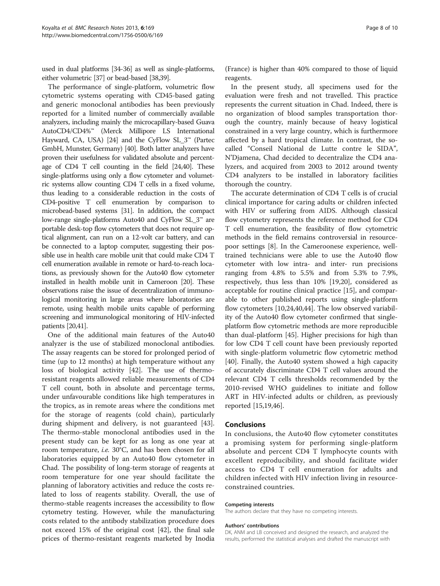used in dual platforms [\[34](#page-9-0)-[36](#page-9-0)] as well as single-platforms, either volumetric [[37](#page-9-0)] or bead-based [\[38,39\]](#page-9-0).

The performance of single-platform, volumetric flow cytometric systems operating with CD45-based gating and generic monoclonal antibodies has been previously reported for a limited number of commercially available analyzers, including mainly the microcapillary-based Guava AutoCD4/CD4%™ (Merck Millipore LS International Hayward, CA, USA) [[24](#page-8-0)] and the CyFlow SL\_3™ (Partec GmbH, Munster, Germany) [\[40](#page-9-0)]. Both latter analyzers have proven their usefulness for validated absolute and percentage of CD4 T cell counting in the field [\[24](#page-8-0)[,40\]](#page-9-0). These single-platforms using only a flow cytometer and volumetric systems allow counting CD4 T cells in a fixed volume, thus leading to a considerable reduction in the costs of CD4-positive T cell enumeration by comparison to microbead-based systems [\[31](#page-8-0)]. In addition, the compact low-range single-platforms Auto40 and CyFlow SL\_3™ are portable desk-top flow cytometers that does not require optical alignment, can run on a 12-volt car battery, and can be connected to a laptop computer, suggesting their possible use in health care mobile unit that could make CD4 T cell enumeration available in remote or hard-to-reach locations, as previously shown for the Auto40 flow cytometer installed in health mobile unit in Cameroon [\[20](#page-8-0)]. These observations raise the issue of decentralization of immunological monitoring in large areas where laboratories are remote, using health mobile units capable of performing screening and immunological monitoring of HIV-infected patients [\[20](#page-8-0)[,41\]](#page-9-0).

One of the additional main features of the Auto40 analyzer is the use of stabilized monoclonal antibodies. The assay reagents can be stored for prolonged period of time (up to 12 months) at high temperature without any loss of biological activity [[42\]](#page-9-0). The use of thermoresistant reagents allowed reliable measurements of CD4 T cell count, both in absolute and percentage terms, under unfavourable conditions like high temperatures in the tropics, as in remote areas where the conditions met for the storage of reagents (cold chain), particularly during shipment and delivery, is not guaranteed [\[43](#page-9-0)]. The thermo-stable monoclonal antibodies used in the present study can be kept for as long as one year at room temperature, i.e. 30°C, and has been chosen for all laboratories equipped by an Auto40 flow cytometer in Chad. The possibility of long-term storage of reagents at room temperature for one year should facilitate the planning of laboratory activities and reduce the costs related to loss of reagents stability. Overall, the use of thermo-stable reagents increases the accessibility to flow cytometry testing. However, while the manufacturing costs related to the antibody stabilization procedure does not exceed 15% of the original cost [[42](#page-9-0)], the final sale prices of thermo-resistant reagents marketed by Inodia

(France) is higher than 40% compared to those of liquid reagents.

In the present study, all specimens used for the evaluation were fresh and not travelled. This practice represents the current situation in Chad. Indeed, there is no organization of blood samples transportation thorough the country, mainly because of heavy logistical constrained in a very large country, which is furthermore affected by a hard tropical climate. In contrast, the socalled "Conseil National de Lutte contre le SIDA", N'Djamena, Chad decided to decentralize the CD4 analyzers, and acquired from 2003 to 2012 around twenty CD4 analyzers to be installed in laboratory facilities thorough the country.

The accurate determination of CD4 T cells is of crucial clinical importance for caring adults or children infected with HIV or suffering from AIDS. Although classical flow cytometry represents the reference method for CD4 T cell enumeration, the feasibility of flow cytometric methods in the field remains controversial in resourcepoor settings [[8\]](#page-8-0). In the Cameroonese experience, welltrained technicians were able to use the Auto40 flow cytometer with low intra- and inter- run precisions ranging from 4.8% to 5.5% and from 5.3% to 7.9%, respectively, thus less than 10% [\[19,20](#page-8-0)], considered as acceptable for routine clinical practice [[15\]](#page-8-0), and comparable to other published reports using single-platform flow cytometers [[10](#page-8-0),[24](#page-8-0),[40](#page-9-0),[44](#page-9-0)]. The low observed variability of the Auto40 flow cytometer confirmed that singleplatform flow cytometric methods are more reproducible than dual-platform [\[45](#page-9-0)]. Higher precisions for high than for low CD4 T cell count have been previously reported with single-platform volumetric flow cytometric method [[40\]](#page-9-0). Finally, the Auto40 system showed a high capacity of accurately discriminate CD4 T cell values around the relevant CD4 T cells thresholds recommended by the 2010-revised WHO guidelines to initiate and follow ART in HIV-infected adults or children, as previously reported [[15,19](#page-8-0),[46](#page-9-0)].

#### Conclusions

In conclusions, the Auto40 flow cytometer constitutes a promising system for performing single-platform absolute and percent CD4 T lymphocyte counts with excellent reproducibility, and should facilitate wider access to CD4 T cell enumeration for adults and children infected with HIV infection living in resourceconstrained countries.

#### Competing interests

The authors declare that they have no competing interests.

#### Authors' contributions

DK, ANM and LB conceived and designed the research, and analyzed the results, performed the statistical analyses and drafted the manuscript with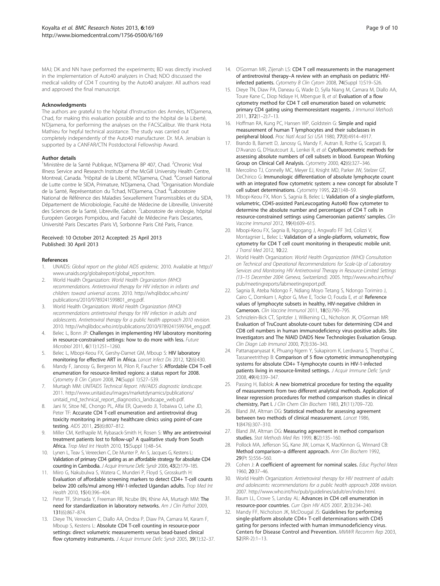<span id="page-8-0"></span>MAJ; DK and NN have performed the experiments; BD was directly involved in the implementation of Auto40 analyzers in Chad; NDO discussed the medical validity of CD4 T counting by the Auto40 analyzer. All authors read and approved the final manuscript.

#### Acknowledgments

The authors are grateful to the hôpital d'Instruction des Armées, N'Djamena, Chad, for making this evaluation possible and to the hôpital de la Liberté, N'Djamena, for performing the analyses on the FACSCalibur. We thank Hota Mathieu for hepful technical assistance. The study was carried out completely independently of the Auto40 manufacturer. Dr. M.A. Jenabian is supported by a CANFAR/CTN Postdoctoral Fellowship Award.

#### Author details

<sup>1</sup>Ministère de la Santé Publique, N'Djamena BP 407, Chad. <sup>2</sup>Chronic Viral Illness Service and Research Institute of the McGill University Health Centre, Montreal, Canada. <sup>3</sup>Hôpital de la Liberté, N'Djamena, Chad. <sup>4</sup>Conseil National de Lutte contre le SIDA, Primature, N'Djamena, Chad. <sup>5</sup>Organisation Mondiale de la Santé, Représentation du Tchad, N'Djamena, Chad. <sup>6</sup>Laboratoire National de Référence des Maladies Sexuellement Transmissibles et du SIDA, Département de Microbiologie, Faculté de Médecine de Libreville, Université des Sciences de la Santé, Libreville, Gabon. <sup>7</sup>Laboratoire de virologie, hôpital Européen Georges Pompidou, and Faculté de Médecine Paris Descartes, Université Paris Descartes (Paris V), Sorbonne Paris Cité Paris, France.

#### Received: 10 October 2012 Accepted: 25 April 2013 Published: 30 April 2013

#### References

- 1. UNAIDS: Global report on the global AIDS epidemic. 2010. Available at [http://](http://www.unaids.org/globalreport/global_report.htm) [www.unaids.org/globalreport/global\\_report.htm](http://www.unaids.org/globalreport/global_report.htm).
- 2. World Health Organization: World Health Organization (WHO) recommendations. Antiretroviral therapy for HIV infection in infants and children: toward universal access. 2010. [http://whqlibdoc.who.int/](http://whqlibdoc.who.int/publications/2010/9789241599801_eng.pdf) [publications/2010/9789241599801\\_eng.pdf](http://whqlibdoc.who.int/publications/2010/9789241599801_eng.pdf).
- 3. World Health Organization: World Health Organization (WHO) recommendations antiretroviral therapy for HIV infection in adults and adolescents. Antiretroviral therapy for a public health approach 2010 revision. 2010. [http://whqlibdoc.who.int/publications/2010/9789241599764\\_eng.pdf.](http://whqlibdoc.who.int/publications/2010/9789241599764_eng.pdf)
- Belec L, Bonn JP: Challenges in implementing HIV laboratory monitoring in resource-constrained settings: how to do more with less. Future Microbiol 2011, 6(11):1251–1260.
- 5. Belec L, Mbopi-Keou FX, Gershy-Damet GM, Mboup S: HIV laboratory monitoring for effective ART in Africa. Lancet Infect Dis 2012, 12(6):430.
- 6. Mandy F, Janossy G, Bergeron M, Pilon R, Faucher S: Affordable CD4 T-cell enumeration for resource-limited regions: a status report for 2008. Cytometry B Clin Cytom 2008, 74(Suppl 1):S27–S39.
- Murtagh MM: UNITAIDS Technical Report. HIV/AIDS diagnostic landscape. 2011. [http://www.unitaid.eu/images/marketdynamics/publications/](http://www.unitaid.eu/images/marketdynamics/publications/unitaid_md_technical_report_diagnostics_landscape_web.pdf) [unitaid\\_md\\_technical\\_report\\_diagnostics\\_landscape\\_web.pdf.](http://www.unitaid.eu/images/marketdynamics/publications/unitaid_md_technical_report_diagnostics_landscape_web.pdf)
- 8. Jani IV, Sitoe NE, Chongo PL, Alfai ER, Quevedo JI, Tobaiwa O, Lehe JD, Peter TF: Accurate CD4 T-cell enumeration and antiretroviral drug toxicity monitoring in primary healthcare clinics using point-of-care testing. AIDS 2011, 25(6):807–812.
- 9. Miller CM, Ketlhapile M, Rybasack-Smith H, Rosen S: Why are antiretroviral treatment patients lost to follow-up? A qualitative study from South Africa. Trop Med Int Health 2010, 15(Suppl 1):48–54.
- 10. Lynen L, Teav S, Vereecken C, De Munter P, An S, Jacques G, Kestens L: Validation of primary CD4 gating as an affordable strategy for absolute CD4 counting in Cambodia. J Acquir Immune Defic Syndr 2006, 43(2):179–185.
- 11. Miiro G, Nakubulwa S, Watera C, Munderi P, Floyd S, Grosskurth H: Evaluation of affordable screening markers to detect CD4+ T-cell counts below 200 cells/mul among HIV-1-infected Ugandan adults. Trop Med Int Health 2010, 15(4):396–404.
- 12. Peter TF, Shimada Y, Freeman RR, Ncube BN, Khine AA, Murtagh MM: The need for standardization in laboratory networks. Am J Clin Pathol 2009, 131(6):867–874.
- 13. Dieye TN, Vereecken C, Diallo AA, Ondoa P, Diaw PA, Camara M, Karam F, Mboup S, Kestens L: Absolute CD4 T-cell counting in resource-poor settings: direct volumetric measurements versus bead-based clinical flow cytometry instruments. J Acquir Immune Defic Syndr 2005, 39(1):32-37.
- 14. O'Gorman MR, Zijenah LS: CD4 T cell measurements in the management of antiretroviral therapy–A review with an emphasis on pediatric HIVinfected patients. Cytometry B Clin Cytom 2008, 74(Suppl 1):S19–S26.
- 15. Dieye TN, Diaw PA, Daneau G, Wade D, Sylla Niang M, Camara M, Diallo AA, Toure Kane C, Diop Ndiaye H, Mbengue B, et al: Evaluation of a flow cytometry method for CD4 T cell enumeration based on volumetric primary CD4 gating using thermoresistant reagents. J Immunol Methods 2011, 372(1–2):7–13.
- 16. Hoffman RA, Kung PC, Hansen WP, Goldstein G: Simple and rapid measurement of human T lymphocytes and their subclasses in peripheral blood. Proc Natl Acad Sci USA 1980, 77(8):4914–4917.
- 17. Brando B, Barnett D, Janossy G, Mandy F, Autran B, Rothe G, Scarpati B, D'Avanzo G, D'Hautcourt JL, Lenkei R, et al: Cytofluorometric methods for assessing absolute numbers of cell subsets in blood. European Working Group on Clinical Cell Analysis. Cytometry 2000, 42(6):327–346.
- 18. Mercolino TJ, Connelly MC, Meyer EJ, Knight MD, Parker JW, Stelzer GT, DeChirico G: Immunologic differentiation of absolute lymphocyte count with an integrated flow cytometric system: a new concept for absolute T cell subset determinations. Cytometry 1995, 22(1):48–59.
- 19. Mbopi-Keou FX, Mion S, Sagnia B, Belec L: Validation of a single-platform, volumetric, CD45-assisted PanLeucogating Auto40 flow cytometer to determine the absolute number and percentages of CD4 T cells in resource-constrained settings using Cameroonian patients' samples. Clin Vaccine Immunol 2012, 19(4):609–615.
- 20. Mbopi-Keou FX, Sagnia B, Ngogang J, Angwafo FF 3rd, Colizzi V, Montagnier L, Belec L: Validation of a single-platform, volumetric, flow cytometry for CD4 T cell count monitoring in therapeutic mobile unit. J Transl Med 2012, 10:22.
- 21. World Health Organization: World Health Organization (WHO) Consultation on Technical and Operational Recommendations for Scale-Up of Laboratory Services and Monitoring HIV Antiretroviral Therapy in Resource-Limited Settings (13–15 December 2004: Geneva, Switzerland). 2005. [http://www.who.int/hiv/](http://www.who.int/hiv/pub/meetingreports/labmeetingreport.pdf) [pub/meetingreports/labmeetingreport.pdf](http://www.who.int/hiv/pub/meetingreports/labmeetingreport.pdf).
- 22. Sagnia B, Ateba Ndongo F, Ndiang Moyo Tetang S, Ndongo Torimiro J, Cairo C, Domkam I, Agbor G, Mve E, Tocke O, Fouda E, et al: Reference values of lymphocyte subsets in healthy, HIV-negative children in Cameroon. Clin Vaccine Immunol 2011, 18(5):790–795.
- 23. Schnizlein-Bick CT, Spritzler J, Wilkening CL, Nicholson JK, O'Gorman MR: Evaluation of TruCount absolute-count tubes for determining CD4 and CD8 cell numbers in human immunodeficiency virus-positive adults. Site Investigators and The NIAID DAIDS New Technologies Evaluation Group. Clin Diagn Lab Immunol 2000, 7(3):336–343.
- 24. Pattanapanyasat K, Phuang-Ngern Y, Sukapirom K, Lerdwana S, Thepthai C, Tassaneetrithep B: Comparison of 5 flow cytometric immunophenotyping systems for absolute CD4+ T-lymphocyte counts in HIV-1-infected patients living in resource-limited settings. J Acquir Immune Defic Syndr 2008, 49(4):339–347.
- 25. Passing H, Bablok: A new biometrical procedure for testing the equality of measurements from two different analytical methods. Application of linear regression procedures for method comparison studies in clinical chemistry, Part I. J Clin Chem Clin Biochem 1983, 21(11):709–720.
- 26. Bland JM, Altman DG: Statistical methods for assessing agreement between two methods of clinical measurement. Lancet 1986, 1(8476):307–310.
- 27. Bland JM, Altman DG: Measuring agreement in method comparison studies. Stat Methods Med Res 1999, 8(2):135–160.
- 28. Pollock MA, Jefferson SG, Kane JW, Lomax K, MacKinnon G, Winnard CB: Method comparison–a different approach. Ann Clin Biochem 1992, 29(Pt 5):556–560.
- 29. Cohen J: A coefficient of agreement for nominal scales. Educ Psychol Meas 1960, 20:37–46.
- 30. World Health Organization: Antiretroviral therapy for HIV treatment of adults and adolescents: recommendations for a public health approach 2006 revision. 2007. [http://www.who.int/hiv/pub/guidelines/adult/en/index.html.](http://www.who.int/hiv/pub/guidelines/adult/en/index.html)
- 31. Baum LL, Crowe S, Landay AL: Advances in CD4 cell enumeration in resource-poor countries. Curr Opin HIV AIDS 2007, 2(3):234–240.
- 32. Mandy FF, Nicholson JK, McDougal JS: Guidelines for performing single-platform absolute CD4+ T-cell determinations with CD45 gating for persons infected with human immunodeficiency virus. Centers for Disease Control and Prevention. MMWR Recomm Rep 2003, 52(RR-2):1–13.